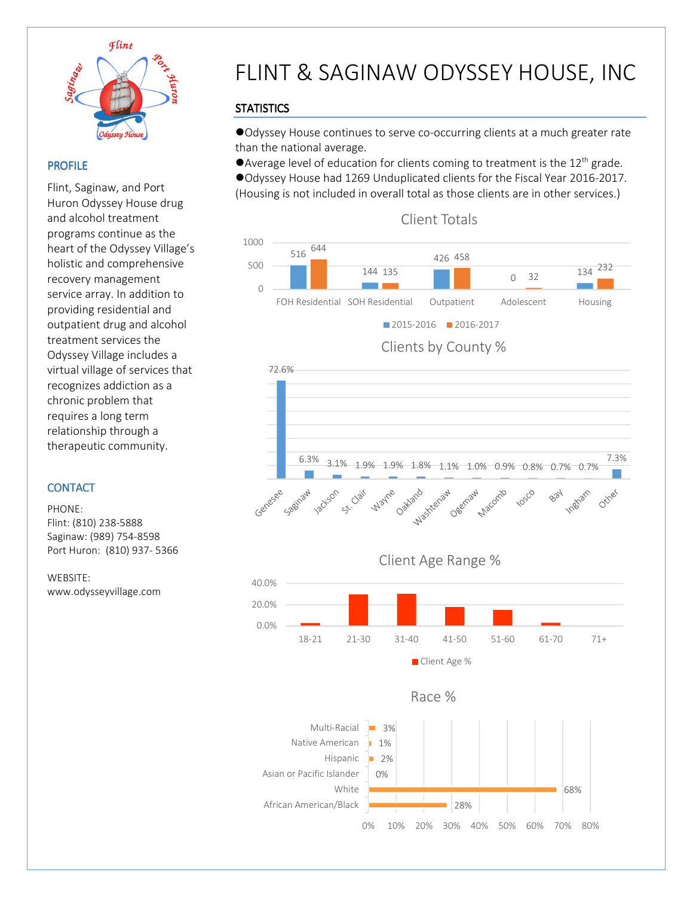

 $\overline{a}$ 

### PROFILE

Flint, Saginaw, and Port Huron Odyssey House drug and alcohol treatment programs continue as the heart of the Odyssey Village's holistic and comprehensive recovery management service array. In addition to providing residential and outpatient drug and alcohol treatment services the Odyssey Village includes a virtual village of services that recognizes addiction as a chronic problem that requires a long term relationship through a therapeutic community.

### **CONTACT**

PHONE: Flint: (810) 238-5888 Saginaw: (989) 754-8598 Port Huron: (810) 937- 5366

WEBSITE: www.odysseyvillage.com

# FLINT & SAGINAW ODYSSEY HOUSE, INC

## **STATISTICS**

Odyssey House continues to serve co-occurring clients at a much greater rate than the national average.

Average level of education for clients coming to treatment is the  $12<sup>th</sup>$  grade.

Odyssey House had 1269 Unduplicated clients for the Fiscal Year 2016-2017. (Housing is not included in overall total as those clients are in other services.)



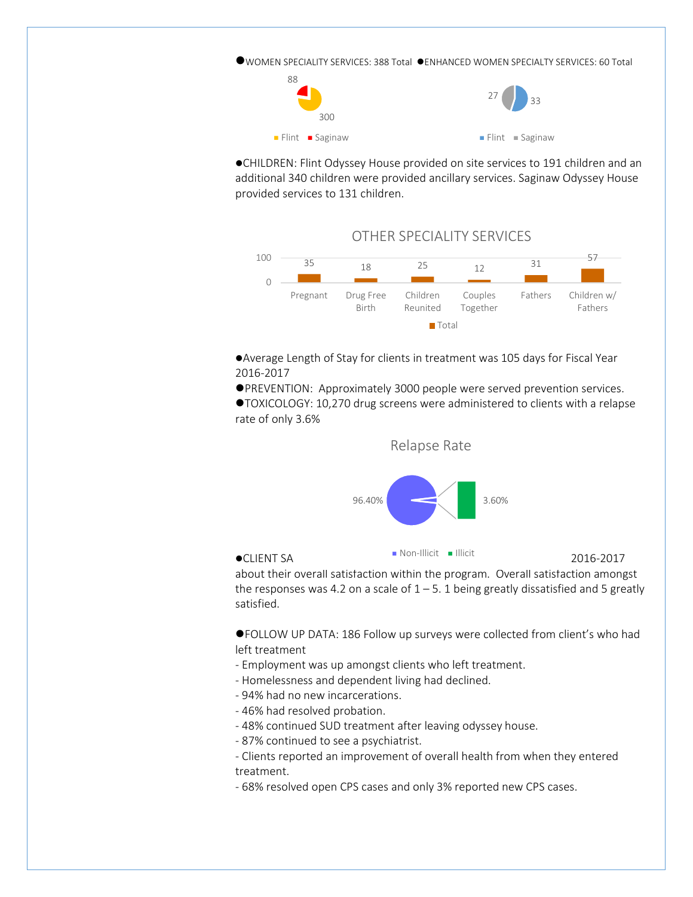WOMEN SPECIALITY SERVICES: 388 Total ENHANCED WOMEN SPECIALTY SERVICES: 60 Total



CHILDREN: Flint Odyssey House provided on site services to 191 children and an additional 340 children were provided ancillary services. Saginaw Odyssey House provided services to 131 children.



Average Length of Stay for clients in treatment was 105 days for Fiscal Year 2016-2017

PREVENTION: Approximately 3000 people were served prevention services.

TOXICOLOGY: 10,270 drug screens were administered to clients with a relapse rate of only 3.6%



 $\bullet$ CLIENT SA $\bullet$  2016-2017

about their overall satisfaction within the program. Overall satisfaction amongst the responses was 4.2 on a scale of  $1 - 5$ . 1 being greatly dissatisfied and 5 greatly satisfied.

FOLLOW UP DATA: 186 Follow up surveys were collected from client's who had left treatment

- Employment was up amongst clients who left treatment.
- Homelessness and dependent living had declined.
- 94% had no new incarcerations.
- 46% had resolved probation.
- 48% continued SUD treatment after leaving odyssey house.
- 87% continued to see a psychiatrist.

- Clients reported an improvement of overall health from when they entered treatment.

- 68% resolved open CPS cases and only 3% reported new CPS cases.